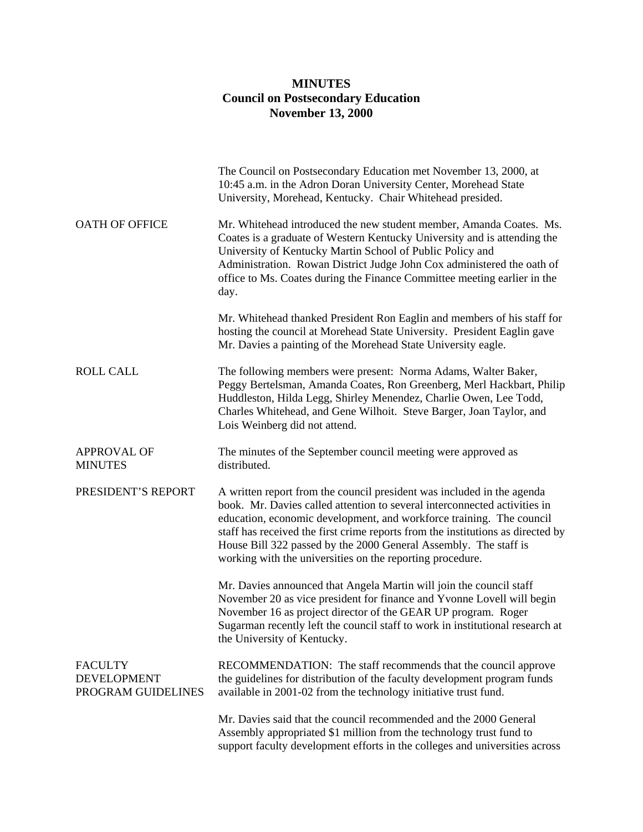## **MINUTES Council on Postsecondary Education November 13, 2000**

|                                                            | The Council on Postsecondary Education met November 13, 2000, at<br>10:45 a.m. in the Adron Doran University Center, Morehead State<br>University, Morehead, Kentucky. Chair Whitehead presided.                                                                                                                                                                                                                                                |
|------------------------------------------------------------|-------------------------------------------------------------------------------------------------------------------------------------------------------------------------------------------------------------------------------------------------------------------------------------------------------------------------------------------------------------------------------------------------------------------------------------------------|
| <b>OATH OF OFFICE</b>                                      | Mr. Whitehead introduced the new student member, Amanda Coates. Ms.<br>Coates is a graduate of Western Kentucky University and is attending the<br>University of Kentucky Martin School of Public Policy and<br>Administration. Rowan District Judge John Cox administered the oath of<br>office to Ms. Coates during the Finance Committee meeting earlier in the<br>day.                                                                      |
|                                                            | Mr. Whitehead thanked President Ron Eaglin and members of his staff for<br>hosting the council at Morehead State University. President Eaglin gave<br>Mr. Davies a painting of the Morehead State University eagle.                                                                                                                                                                                                                             |
| <b>ROLL CALL</b>                                           | The following members were present: Norma Adams, Walter Baker,<br>Peggy Bertelsman, Amanda Coates, Ron Greenberg, Merl Hackbart, Philip<br>Huddleston, Hilda Legg, Shirley Menendez, Charlie Owen, Lee Todd,<br>Charles Whitehead, and Gene Wilhoit. Steve Barger, Joan Taylor, and<br>Lois Weinberg did not attend.                                                                                                                            |
| <b>APPROVAL OF</b><br><b>MINUTES</b>                       | The minutes of the September council meeting were approved as<br>distributed.                                                                                                                                                                                                                                                                                                                                                                   |
| PRESIDENT'S REPORT                                         | A written report from the council president was included in the agenda<br>book. Mr. Davies called attention to several interconnected activities in<br>education, economic development, and workforce training. The council<br>staff has received the first crime reports from the institutions as directed by<br>House Bill 322 passed by the 2000 General Assembly. The staff is<br>working with the universities on the reporting procedure. |
|                                                            | Mr. Davies announced that Angela Martin will join the council staff<br>November 20 as vice president for finance and Yvonne Lovell will begin<br>November 16 as project director of the GEAR UP program. Roger<br>Sugarman recently left the council staff to work in institutional research at<br>the University of Kentucky.                                                                                                                  |
| <b>FACULTY</b><br><b>DEVELOPMENT</b><br>PROGRAM GUIDELINES | RECOMMENDATION: The staff recommends that the council approve<br>the guidelines for distribution of the faculty development program funds<br>available in 2001-02 from the technology initiative trust fund.                                                                                                                                                                                                                                    |
|                                                            | Mr. Davies said that the council recommended and the 2000 General<br>Assembly appropriated \$1 million from the technology trust fund to<br>support faculty development efforts in the colleges and universities across                                                                                                                                                                                                                         |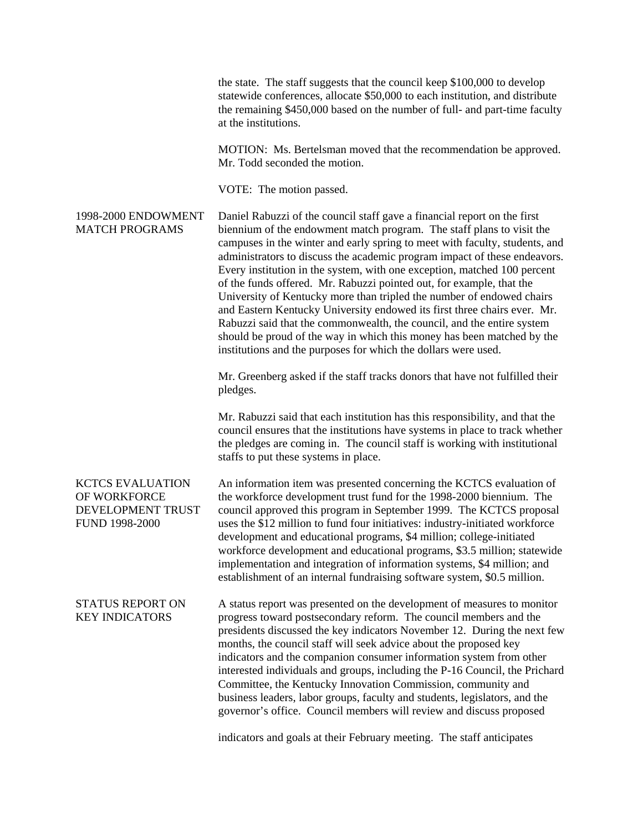the state. The staff suggests that the council keep \$100,000 to develop statewide conferences, allocate \$50,000 to each institution, and distribute the remaining \$450,000 based on the number of full- and part-time faculty at the institutions.

MOTION: Ms. Bertelsman moved that the recommendation be approved. Mr. Todd seconded the motion.

VOTE: The motion passed.

1998-2000 ENDOWMENT MATCH PROGRAMS Daniel Rabuzzi of the council staff gave a financial report on the first biennium of the endowment match program. The staff plans to visit the campuses in the winter and early spring to meet with faculty, students, and administrators to discuss the academic program impact of these endeavors. Every institution in the system, with one exception, matched 100 percent of the funds offered. Mr. Rabuzzi pointed out, for example, that the University of Kentucky more than tripled the number of endowed chairs and Eastern Kentucky University endowed its first three chairs ever. Mr. Rabuzzi said that the commonwealth, the council, and the entire system should be proud of the way in which this money has been matched by the institutions and the purposes for which the dollars were used.

> Mr. Greenberg asked if the staff tracks donors that have not fulfilled their pledges.

Mr. Rabuzzi said that each institution has this responsibility, and that the council ensures that the institutions have systems in place to track whether the pledges are coming in. The council staff is working with institutional staffs to put these systems in place.

KCTCS EVALUATION OF WORKFORCE DEVELOPMENT TRUST FUND 1998-2000 An information item was presented concerning the KCTCS evaluation of the workforce development trust fund for the 1998-2000 biennium. The council approved this program in September 1999. The KCTCS proposal uses the \$12 million to fund four initiatives: industry-initiated workforce development and educational programs, \$4 million; college-initiated workforce development and educational programs, \$3.5 million; statewide implementation and integration of information systems, \$4 million; and establishment of an internal fundraising software system, \$0.5 million.

STATUS REPORT ON KEY INDICATORS A status report was presented on the development of measures to monitor progress toward postsecondary reform. The council members and the presidents discussed the key indicators November 12. During the next few months, the council staff will seek advice about the proposed key indicators and the companion consumer information system from other interested individuals and groups, including the P-16 Council, the Prichard Committee, the Kentucky Innovation Commission, community and business leaders, labor groups, faculty and students, legislators, and the governor's office. Council members will review and discuss proposed

indicators and goals at their February meeting. The staff anticipates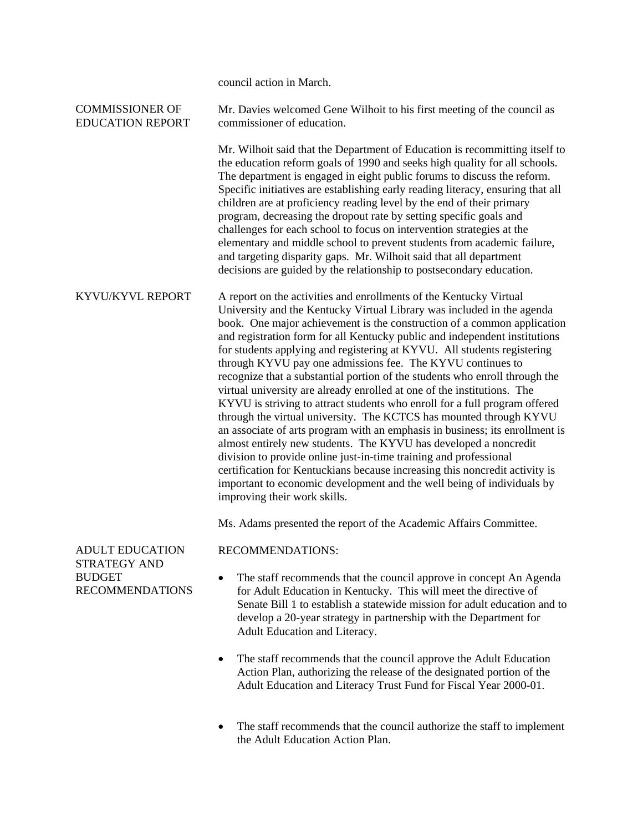|                                                                                          | council action in March.                                                                                                                                                                                                                                                                                                                                                                                                                                                                                                                                                                                                                                                                                                                                                                                                                                                                                                                                                                                                                                                                                                                                                       |
|------------------------------------------------------------------------------------------|--------------------------------------------------------------------------------------------------------------------------------------------------------------------------------------------------------------------------------------------------------------------------------------------------------------------------------------------------------------------------------------------------------------------------------------------------------------------------------------------------------------------------------------------------------------------------------------------------------------------------------------------------------------------------------------------------------------------------------------------------------------------------------------------------------------------------------------------------------------------------------------------------------------------------------------------------------------------------------------------------------------------------------------------------------------------------------------------------------------------------------------------------------------------------------|
| <b>COMMISSIONER OF</b><br><b>EDUCATION REPORT</b>                                        | Mr. Davies welcomed Gene Wilhoit to his first meeting of the council as<br>commissioner of education.                                                                                                                                                                                                                                                                                                                                                                                                                                                                                                                                                                                                                                                                                                                                                                                                                                                                                                                                                                                                                                                                          |
|                                                                                          | Mr. Wilhoit said that the Department of Education is recommitting itself to<br>the education reform goals of 1990 and seeks high quality for all schools.<br>The department is engaged in eight public forums to discuss the reform.<br>Specific initiatives are establishing early reading literacy, ensuring that all<br>children are at proficiency reading level by the end of their primary<br>program, decreasing the dropout rate by setting specific goals and<br>challenges for each school to focus on intervention strategies at the<br>elementary and middle school to prevent students from academic failure,<br>and targeting disparity gaps. Mr. Wilhoit said that all department<br>decisions are guided by the relationship to postsecondary education.                                                                                                                                                                                                                                                                                                                                                                                                       |
| KYVU/KYVL REPORT                                                                         | A report on the activities and enrollments of the Kentucky Virtual<br>University and the Kentucky Virtual Library was included in the agenda<br>book. One major achievement is the construction of a common application<br>and registration form for all Kentucky public and independent institutions<br>for students applying and registering at KYVU. All students registering<br>through KYVU pay one admissions fee. The KYVU continues to<br>recognize that a substantial portion of the students who enroll through the<br>virtual university are already enrolled at one of the institutions. The<br>KYVU is striving to attract students who enroll for a full program offered<br>through the virtual university. The KCTCS has mounted through KYVU<br>an associate of arts program with an emphasis in business; its enrollment is<br>almost entirely new students. The KYVU has developed a noncredit<br>division to provide online just-in-time training and professional<br>certification for Kentuckians because increasing this noncredit activity is<br>important to economic development and the well being of individuals by<br>improving their work skills. |
|                                                                                          | Ms. Adams presented the report of the Academic Affairs Committee.                                                                                                                                                                                                                                                                                                                                                                                                                                                                                                                                                                                                                                                                                                                                                                                                                                                                                                                                                                                                                                                                                                              |
| <b>ADULT EDUCATION</b><br><b>STRATEGY AND</b><br><b>BUDGET</b><br><b>RECOMMENDATIONS</b> | <b>RECOMMENDATIONS:</b>                                                                                                                                                                                                                                                                                                                                                                                                                                                                                                                                                                                                                                                                                                                                                                                                                                                                                                                                                                                                                                                                                                                                                        |
|                                                                                          | The staff recommends that the council approve in concept An Agenda<br>for Adult Education in Kentucky. This will meet the directive of<br>Senate Bill 1 to establish a statewide mission for adult education and to<br>develop a 20-year strategy in partnership with the Department for<br>Adult Education and Literacy.                                                                                                                                                                                                                                                                                                                                                                                                                                                                                                                                                                                                                                                                                                                                                                                                                                                      |
|                                                                                          | The staff recommends that the council approve the Adult Education<br>Action Plan, authorizing the release of the designated portion of the<br>Adult Education and Literacy Trust Fund for Fiscal Year 2000-01.                                                                                                                                                                                                                                                                                                                                                                                                                                                                                                                                                                                                                                                                                                                                                                                                                                                                                                                                                                 |
|                                                                                          |                                                                                                                                                                                                                                                                                                                                                                                                                                                                                                                                                                                                                                                                                                                                                                                                                                                                                                                                                                                                                                                                                                                                                                                |

• The staff recommends that the council authorize the staff to implement the Adult Education Action Plan.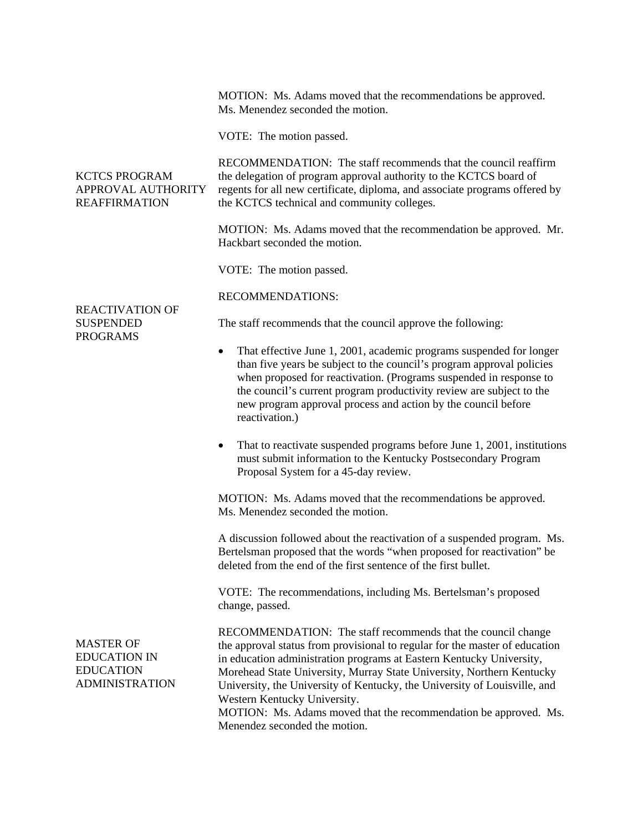|                                                                                      | MOTION: Ms. Adams moved that the recommendations be approved.<br>Ms. Menendez seconded the motion.                                                                                                                                                                                                                                                                                                                                                                                                             |
|--------------------------------------------------------------------------------------|----------------------------------------------------------------------------------------------------------------------------------------------------------------------------------------------------------------------------------------------------------------------------------------------------------------------------------------------------------------------------------------------------------------------------------------------------------------------------------------------------------------|
|                                                                                      | VOTE: The motion passed.                                                                                                                                                                                                                                                                                                                                                                                                                                                                                       |
| <b>KCTCS PROGRAM</b><br>APPROVAL AUTHORITY<br><b>REAFFIRMATION</b>                   | RECOMMENDATION: The staff recommends that the council reaffirm<br>the delegation of program approval authority to the KCTCS board of<br>regents for all new certificate, diploma, and associate programs offered by<br>the KCTCS technical and community colleges.                                                                                                                                                                                                                                             |
|                                                                                      | MOTION: Ms. Adams moved that the recommendation be approved. Mr.<br>Hackbart seconded the motion.                                                                                                                                                                                                                                                                                                                                                                                                              |
|                                                                                      | VOTE: The motion passed.                                                                                                                                                                                                                                                                                                                                                                                                                                                                                       |
| <b>REACTIVATION OF</b><br><b>SUSPENDED</b><br><b>PROGRAMS</b>                        | <b>RECOMMENDATIONS:</b>                                                                                                                                                                                                                                                                                                                                                                                                                                                                                        |
|                                                                                      | The staff recommends that the council approve the following:                                                                                                                                                                                                                                                                                                                                                                                                                                                   |
|                                                                                      | That effective June 1, 2001, academic programs suspended for longer<br>٠<br>than five years be subject to the council's program approval policies<br>when proposed for reactivation. (Programs suspended in response to<br>the council's current program productivity review are subject to the<br>new program approval process and action by the council before<br>reactivation.)                                                                                                                             |
|                                                                                      | That to reactivate suspended programs before June 1, 2001, institutions<br>٠<br>must submit information to the Kentucky Postsecondary Program<br>Proposal System for a 45-day review.                                                                                                                                                                                                                                                                                                                          |
|                                                                                      | MOTION: Ms. Adams moved that the recommendations be approved.<br>Ms. Menendez seconded the motion.                                                                                                                                                                                                                                                                                                                                                                                                             |
|                                                                                      | A discussion followed about the reactivation of a suspended program. Ms.<br>Bertelsman proposed that the words "when proposed for reactivation" be<br>deleted from the end of the first sentence of the first bullet.                                                                                                                                                                                                                                                                                          |
|                                                                                      | VOTE: The recommendations, including Ms. Bertelsman's proposed<br>change, passed.                                                                                                                                                                                                                                                                                                                                                                                                                              |
| <b>MASTER OF</b><br><b>EDUCATION IN</b><br><b>EDUCATION</b><br><b>ADMINISTRATION</b> | RECOMMENDATION: The staff recommends that the council change<br>the approval status from provisional to regular for the master of education<br>in education administration programs at Eastern Kentucky University,<br>Morehead State University, Murray State University, Northern Kentucky<br>University, the University of Kentucky, the University of Louisville, and<br>Western Kentucky University.<br>MOTION: Ms. Adams moved that the recommendation be approved. Ms.<br>Menendez seconded the motion. |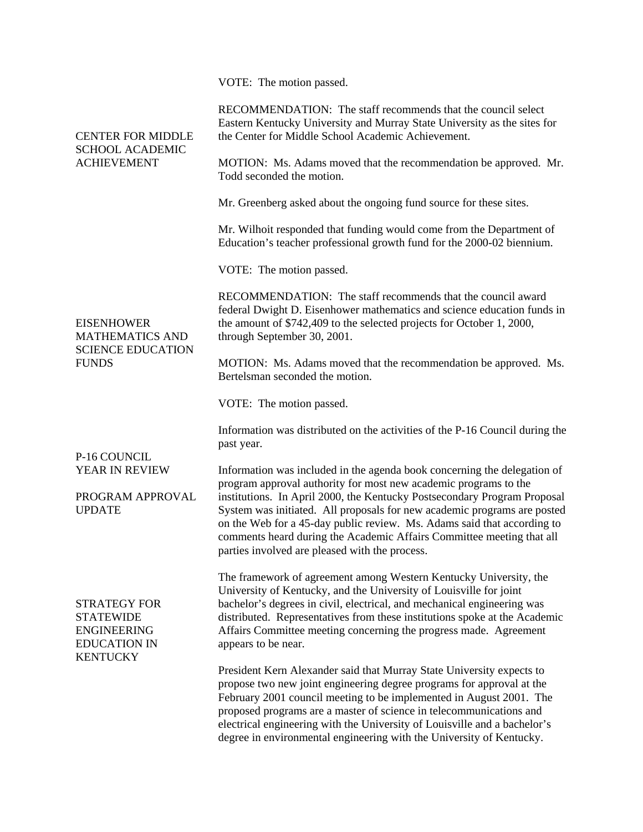| <b>CENTER FOR MIDDLE</b><br><b>SCHOOL ACADEMIC</b><br><b>ACHIEVEMENT</b>                                | VOTE: The motion passed.                                                                                                                                                                                                                                                                                                                                                                                                                                                                                   |
|---------------------------------------------------------------------------------------------------------|------------------------------------------------------------------------------------------------------------------------------------------------------------------------------------------------------------------------------------------------------------------------------------------------------------------------------------------------------------------------------------------------------------------------------------------------------------------------------------------------------------|
|                                                                                                         | RECOMMENDATION: The staff recommends that the council select<br>Eastern Kentucky University and Murray State University as the sites for<br>the Center for Middle School Academic Achievement.                                                                                                                                                                                                                                                                                                             |
|                                                                                                         | MOTION: Ms. Adams moved that the recommendation be approved. Mr.<br>Todd seconded the motion.                                                                                                                                                                                                                                                                                                                                                                                                              |
|                                                                                                         | Mr. Greenberg asked about the ongoing fund source for these sites.                                                                                                                                                                                                                                                                                                                                                                                                                                         |
|                                                                                                         | Mr. Wilhoit responded that funding would come from the Department of<br>Education's teacher professional growth fund for the 2000-02 biennium.                                                                                                                                                                                                                                                                                                                                                             |
| <b>EISENHOWER</b><br><b>MATHEMATICS AND</b><br><b>SCIENCE EDUCATION</b><br><b>FUNDS</b>                 | VOTE: The motion passed.                                                                                                                                                                                                                                                                                                                                                                                                                                                                                   |
|                                                                                                         | RECOMMENDATION: The staff recommends that the council award<br>federal Dwight D. Eisenhower mathematics and science education funds in<br>the amount of \$742,409 to the selected projects for October 1, 2000,<br>through September 30, 2001.                                                                                                                                                                                                                                                             |
|                                                                                                         | MOTION: Ms. Adams moved that the recommendation be approved. Ms.<br>Bertelsman seconded the motion.                                                                                                                                                                                                                                                                                                                                                                                                        |
|                                                                                                         | VOTE: The motion passed.                                                                                                                                                                                                                                                                                                                                                                                                                                                                                   |
|                                                                                                         | Information was distributed on the activities of the P-16 Council during the<br>past year.                                                                                                                                                                                                                                                                                                                                                                                                                 |
| P-16 COUNCIL<br>YEAR IN REVIEW<br>PROGRAM APPROVAL<br><b>UPDATE</b>                                     | Information was included in the agenda book concerning the delegation of<br>program approval authority for most new academic programs to the<br>institutions. In April 2000, the Kentucky Postsecondary Program Proposal<br>System was initiated. All proposals for new academic programs are posted<br>on the Web for a 45-day public review. Ms. Adams said that according to<br>comments heard during the Academic Affairs Committee meeting that all<br>parties involved are pleased with the process. |
| <b>STRATEGY FOR</b><br><b>STATEWIDE</b><br><b>ENGINEERING</b><br><b>EDUCATION IN</b><br><b>KENTUCKY</b> | The framework of agreement among Western Kentucky University, the<br>University of Kentucky, and the University of Louisville for joint<br>bachelor's degrees in civil, electrical, and mechanical engineering was<br>distributed. Representatives from these institutions spoke at the Academic<br>Affairs Committee meeting concerning the progress made. Agreement<br>appears to be near.                                                                                                               |
|                                                                                                         | President Kern Alexander said that Murray State University expects to<br>propose two new joint engineering degree programs for approval at the<br>February 2001 council meeting to be implemented in August 2001. The<br>proposed programs are a master of science in telecommunications and<br>electrical engineering with the University of Louisville and a bachelor's<br>degree in environmental engineering with the University of Kentucky.                                                          |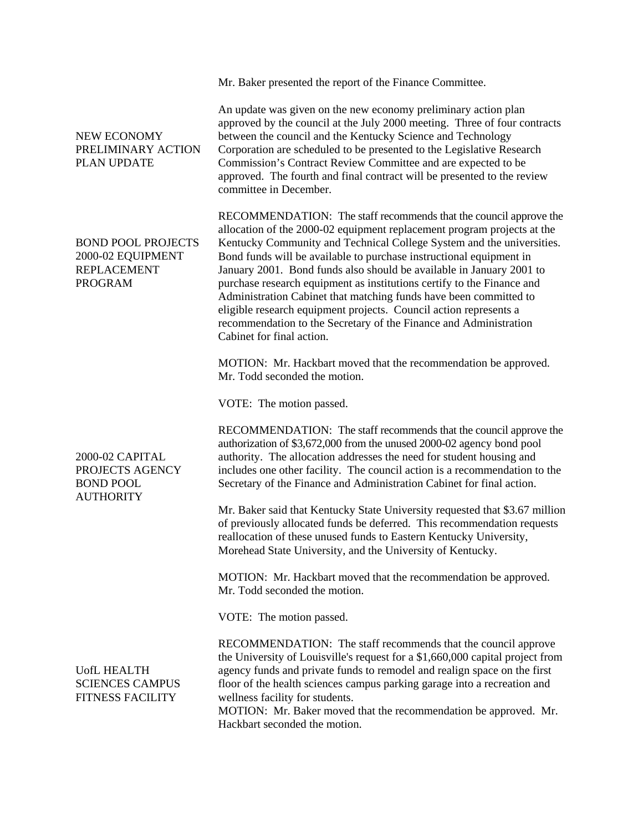Mr. Baker presented the report of the Finance Committee.

NEW ECONOMY PRELIMINARY ACTION PLAN UPDATE BOND POOL PROJECTS 2000-02 EQUIPMENT REPLACEMENT PROGRAM 2000-02 CAPITAL PROJECTS AGENCY BOND POOL **AUTHORITY** UofL HEALTH SCIENCES CAMPUS FITNESS FACILITY An update was given on the new economy preliminary action plan approved by the council at the July 2000 meeting. Three of four contracts between the council and the Kentucky Science and Technology Corporation are scheduled to be presented to the Legislative Research Commission's Contract Review Committee and are expected to be approved. The fourth and final contract will be presented to the review committee in December. RECOMMENDATION: The staff recommends that the council approve the allocation of the 2000-02 equipment replacement program projects at the Kentucky Community and Technical College System and the universities. Bond funds will be available to purchase instructional equipment in January 2001. Bond funds also should be available in January 2001 to purchase research equipment as institutions certify to the Finance and Administration Cabinet that matching funds have been committed to eligible research equipment projects. Council action represents a recommendation to the Secretary of the Finance and Administration Cabinet for final action. MOTION: Mr. Hackbart moved that the recommendation be approved. Mr. Todd seconded the motion. VOTE: The motion passed. RECOMMENDATION: The staff recommends that the council approve the authorization of \$3,672,000 from the unused 2000-02 agency bond pool authority. The allocation addresses the need for student housing and includes one other facility. The council action is a recommendation to the Secretary of the Finance and Administration Cabinet for final action. Mr. Baker said that Kentucky State University requested that \$3.67 million of previously allocated funds be deferred. This recommendation requests reallocation of these unused funds to Eastern Kentucky University, Morehead State University, and the University of Kentucky. MOTION: Mr. Hackbart moved that the recommendation be approved. Mr. Todd seconded the motion. VOTE: The motion passed. RECOMMENDATION: The staff recommends that the council approve the University of Louisville's request for a \$1,660,000 capital project from agency funds and private funds to remodel and realign space on the first floor of the health sciences campus parking garage into a recreation and wellness facility for students.

MOTION: Mr. Baker moved that the recommendation be approved. Mr. Hackbart seconded the motion.